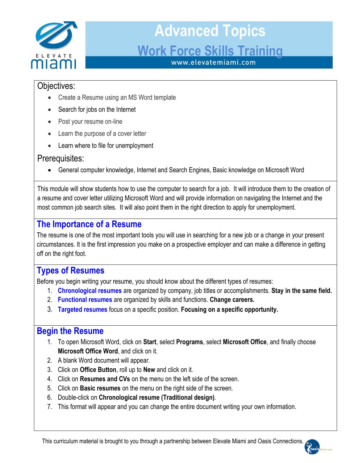

#### Objectives:

- Create a Resume using an MS Word template
- Search for jobs on the Internet
- Post your resume on-line
- Learn the purpose of a cover letter
- Learn where to file for unemployment

#### Prerequisites:

General computer knowledge, Internet and Search Engines, Basic knowledge on Microsoft Word

a resume and cover letter utilizing Microsoft Word and will provide information on navigating the Internet and the This module will show students how to use the computer to search for a job. It will introduce them to the creation of most common job search sites. It will also point them in the right direction to apply for unemployment.

#### **The Importance of a Resume**

The resume is one of the most important tools you will use in searching for a new job or a change in your present circumstances. It is the first impression you make on a prospective employer and can make a difference in getting off on the right foot.

#### **Types of Resumes**

Before you begin writing your resume, you should know about the different types of resumes:

- 1. **Chronological resumes** are organized by company, job titles or accomplishments. **Stay in the same field.**
- 2. **Functional resumes** are organized by skills and functions. **Change careers.**
- 3. **Targeted resumes** focus on a specific position. **Focusing on a specific opportunity.**

#### **Begin the Resume**

- 1. To open Microsoft Word, click on **Start**, select **Programs**, select **Microsoft Office**, and finally choose **Microsoft Office Word**, and click on it.
- 2. A blank Word document will appear.
- 3. Click on **Office Button**, roll up to **New** and click on it.
- 4. Click on **Resumes and CVs** on the menu on the left side of the screen.
- 5. Click on **Basic resumes** on the menu on the right side of the screen.
- 6. Double-click on **Chronological resume (Traditional design)**.
- 7. This format will appear and you can change the entire document writing your own information.

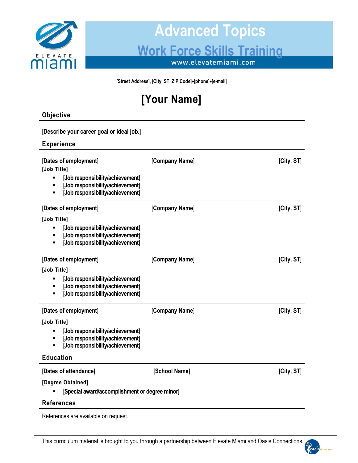

[Street Address], [City, ST ZIP Code] $\bullet$ [phone] $\bullet$ [e-mail]

### **[Your Name]**

#### **Objective**

| [Describe your career goal or ideal job.]                                                                                                                                                 |                |            |
|-------------------------------------------------------------------------------------------------------------------------------------------------------------------------------------------|----------------|------------|
| <b>Experience</b>                                                                                                                                                                         |                |            |
| [Dates of employment]<br>[Job Title]<br>[Job responsibility/achievement]<br>Ξ<br>[Job responsibility/achievement]<br>$\blacksquare$<br>[Job responsibility/achievement]<br>$\blacksquare$ | [Company Name] | [City, ST] |
| [Dates of employment]                                                                                                                                                                     | [Company Name] | [City, ST] |
| [Job Title]<br>[Job responsibility/achievement]<br>٠<br>[Job responsibility/achievement]<br>Ξ<br>[Job responsibility/achievement]<br>$\blacksquare$                                       |                |            |
| [Dates of employment]                                                                                                                                                                     | [Company Name] | [City, ST] |
| [Job Title]<br>[Job responsibility/achievement]<br>п<br>[Job responsibility/achievement]<br>$\blacksquare$<br>[Job responsibility/achievement]<br>٠                                       |                |            |
| [Dates of employment]                                                                                                                                                                     | [Company Name] | [City, ST] |
| [Job Title]<br>[Job responsibility/achievement]<br>[Job responsibility/achievement]<br>$\blacksquare$<br>[Job responsibility/achievement]<br>$\blacksquare$                               |                |            |
| <b>Education</b>                                                                                                                                                                          |                |            |
| [Dates of attendance]<br>[Degree Obtained]<br>[Special award/accomplishment or degree minor]                                                                                              | [School Name]  | [City, ST] |
| <b>References</b>                                                                                                                                                                         |                |            |
| References are available on request.                                                                                                                                                      |                |            |

This curriculum material is brought to you through a partnership between Elevate Miami and Oasis Connections.

KOAS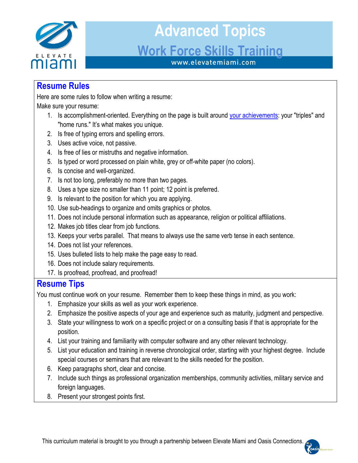

#### **Resume Rules**

Here are some rules to follow when writing a resume:

Make sure your resume:

- 1. Is accomplishment-oriented. Everything on the page is built around your achievements: your "triples" and "home runs." It's what makes you unique.
- 2. Is free of typing errors and spelling errors.
- 3. Uses active voice, not passive.
- 4. Is free of lies or mistruths and negative information.
- 5. Is typed or word processed on plain white, grey or off-white paper (no colors).
- 6. Is concise and well-organized.
- 7. Is not too long, preferably no more than two pages.
- 8. Uses a type size no smaller than 11 point; 12 point is preferred.
- 9. Is relevant to the position for which you are applying.
- 10. Use sub-headings to organize and omits graphics or photos.
- 11. Does not include personal information such as appearance, religion or political affiliations.
- 12. Makes job titles clear from job functions.
- 13. Keeps your verbs parallel. That means to always use the same verb tense in each sentence.
- 14. Does not list your references.
- 15. Uses bulleted lists to help make the page easy to read.
- 16. Does not include salary requirements.
- 17. Is proofread, proofread, and proofread!

#### **Resume Tips**

You must continue work on your resume. Remember them to keep these things in mind, as you work:

- 1. Emphasize your skills as well as your work experience.
- 2. Emphasize the positive aspects of your age and experience such as maturity, judgment and perspective.
- 3. State your willingness to work on a specific project or on a consulting basis if that is appropriate for the position.
- 4. List your training and familiarity with computer software and any other relevant technology.
- 5. List your education and training in reverse chronological order, starting with your highest degree. Include special courses or seminars that are relevant to the skills needed for the position.
- 6. Keep paragraphs short, clear and concise.
- 7. Include such things as professional organization memberships, community activities, military service and foreign languages.
- 8. Present your strongest points first.

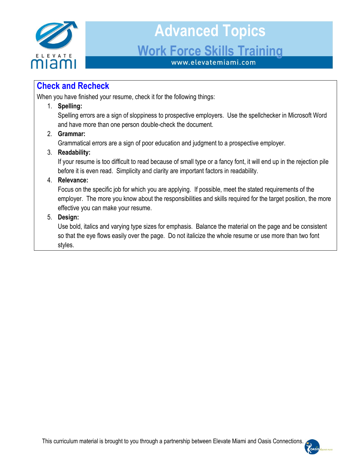

#### **Check and Recheck**

When you have finished your resume, check it for the following things:

#### 1. **Spelling:**

Spelling errors are a sign of sloppiness to prospective employers. Use the spellchecker in Microsoft Word and have more than one person double-check the document.

#### 2. **Grammar:**

Grammatical errors are a sign of poor education and judgment to a prospective employer.

#### 3. **Readability:**

If your resume is too difficult to read because of small type or a fancy font, it will end up in the rejection pile before it is even read. Simplicity and clarity are important factors in readability.

#### 4. **Relevance:**

Focus on the specific job for which you are applying. If possible, meet the stated requirements of the employer. The more you know about the responsibilities and skills required for the target position, the more effective you can make your resume.

#### 5. **Design:**

Use bold, italics and varying type sizes for emphasis. Balance the material on the page and be consistent so that the eye flows easily over the page. Do not italicize the whole resume or use more than two font styles.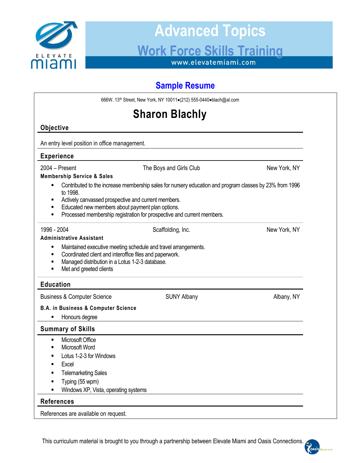

# **Advanced Topics** Work Force Skills Training

### **Sample Resume**

| 666W. 13th Street, New York, NY 10011•(212) 555-0440•blach@al.com                                                                                                                                                           |                                                                                                                                                                                   |              |  |  |
|-----------------------------------------------------------------------------------------------------------------------------------------------------------------------------------------------------------------------------|-----------------------------------------------------------------------------------------------------------------------------------------------------------------------------------|--------------|--|--|
| <b>Sharon Blachly</b>                                                                                                                                                                                                       |                                                                                                                                                                                   |              |  |  |
| Objective                                                                                                                                                                                                                   |                                                                                                                                                                                   |              |  |  |
| An entry level position in office management.                                                                                                                                                                               |                                                                                                                                                                                   |              |  |  |
| <b>Experience</b>                                                                                                                                                                                                           |                                                                                                                                                                                   |              |  |  |
| $2004 - Present$<br><b>Membership Service &amp; Sales</b>                                                                                                                                                                   | The Boys and Girls Club                                                                                                                                                           | New York, NY |  |  |
| ٠<br>to 1998.<br>Actively canvassed prospective and current members.<br>Educated new members about payment plan options.<br>٠<br>٠                                                                                          | Contributed to the increase membership sales for nursery education and program classes by 23% from 1996<br>Processed membership registration for prospective and current members. |              |  |  |
| 1996 - 2004<br><b>Administrative Assistant</b>                                                                                                                                                                              | Scaffolding, Inc.                                                                                                                                                                 | New York, NY |  |  |
| Maintained executive meeting schedule and travel arrangements.<br>٠<br>Coordinated client and interoffice files and paperwork.<br>٠<br>Managed distribution in a Lotus 1-2-3 database.<br>٠<br>Met and greeted clients<br>٠ |                                                                                                                                                                                   |              |  |  |
| <b>Education</b>                                                                                                                                                                                                            |                                                                                                                                                                                   |              |  |  |
| <b>Business &amp; Computer Science</b>                                                                                                                                                                                      | <b>SUNY Albany</b>                                                                                                                                                                | Albany, NY   |  |  |
| <b>B.A. in Business &amp; Computer Science</b><br>Honours degree<br>п                                                                                                                                                       |                                                                                                                                                                                   |              |  |  |
| <b>Summary of Skills</b>                                                                                                                                                                                                    |                                                                                                                                                                                   |              |  |  |
| Microsoft Office<br>٠<br>Microsoft Word<br>٠<br>Lotus 1-2-3 for Windows<br>٠<br><b>Excel</b><br><b>Telemarketing Sales</b><br>Typing (55 wpm)<br>٠<br>Windows XP, Vista, operating systems                                  |                                                                                                                                                                                   |              |  |  |
| <b>References</b>                                                                                                                                                                                                           |                                                                                                                                                                                   |              |  |  |
| References are available on request.                                                                                                                                                                                        |                                                                                                                                                                                   |              |  |  |

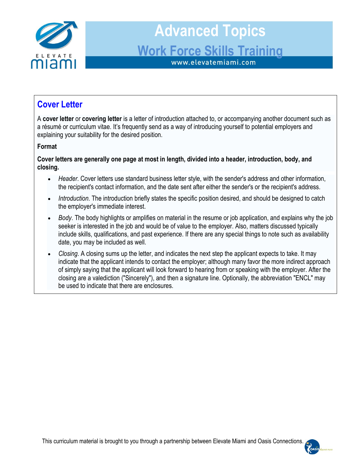

#### **Cover Letter**

A **cover letter** or **covering letter** is a letter of introduction attached to, or accompanying another document such as a résumé or curriculum vitae. It's frequently send as a way of introducing yourself to potential employers and explaining your suitability for the desired position.

#### **Format**

**Cover letters are generally one page at most in length, divided into a header, introduction, body, and closing.**

- *Header*. Cover letters use standard business letter style, with the sender's address and other information, the recipient's contact information, and the date sent after either the sender's or the recipient's address.
- *Introduction*. The introduction briefly states the specific position desired, and should be designed to catch the employer's immediate interest.
- *Body*. The body highlights or amplifies on material in the resume or job application, and explains why the job seeker is interested in the job and would be of value to the employer. Also, matters discussed typically include skills, qualifications, and past experience. If there are any special things to note such as availability date, you may be included as well.
- *Closing*. A closing sums up the letter, and indicates the next step the applicant expects to take. It may indicate that the applicant intends to contact the employer; although many favor the more indirect approach of simply saying that the applicant will look forward to hearing from or speaking with the employer. After the closing are a valediction ("Sincerely"), and then a signature line. Optionally, the abbreviation "ENCL" may be used to indicate that there are enclosures.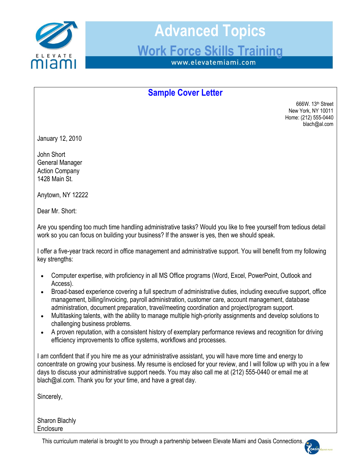

#### **Sample Cover Letter**

666W. 13th Street New York, NY 10011 Home: (212) 555-0440 blach@al.com

January 12, 2010

John Short General Manager Action Company 1428 Main St.

Anytown, NY 12222

Dear Mr. Short:

Are you spending too much time handling administrative tasks? Would you like to free yourself from tedious detail work so you can focus on building your business? If the answer is yes, then we should speak.

I offer a five-year track record in office management and administrative support. You will benefit from my following key strengths:

- Computer expertise, with proficiency in all MS Office programs (Word, Excel, PowerPoint, Outlook and Access).
- Broad-based experience covering a full spectrum of administrative duties, including executive support, office management, billing/invoicing, payroll administration, customer care, account management, database administration, document preparation, travel/meeting coordination and project/program support.
- Multitasking talents, with the ability to manage multiple high-priority assignments and develop solutions to challenging business problems.
- A proven reputation, with a consistent history of exemplary performance reviews and recognition for driving efficiency improvements to office systems, workflows and processes.

I am confident that if you hire me as your administrative assistant, you will have more time and energy to concentrate on growing your business. My resume is enclosed for your review, and I will follow up with you in a few days to discuss your administrative support needs. You may also call me at (212) 555-0440 or email me at blach@al.com. Thank you for your time, and have a great day.

Sincerely,

Sharon Blachly **Enclosure** 

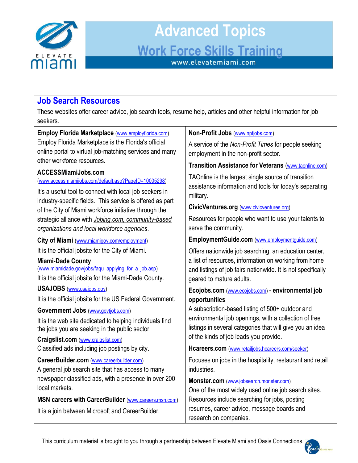

#### **Job Search Resources**

These websites offer career advice, job search tools, resume help, articles and other helpful information for job seekers.

| Employ Florida Marketplace (www.employflorida.com)                                                                 | Non-Profit Jobs (www.nptjobs.com)                                                                   |  |
|--------------------------------------------------------------------------------------------------------------------|-----------------------------------------------------------------------------------------------------|--|
| Employ Florida Marketplace is the Florida's official                                                               | A service of the Non-Profit Times for people seeking                                                |  |
| online portal to virtual job-matching services and many                                                            | employment in the non-profit sector.                                                                |  |
| other workforce resources.                                                                                         | Transition Assistance for Veterans (www.taonline.com)                                               |  |
| <b>ACCESSMiamiJobs.com</b><br>(www.accessmiamijobs.com/default.asp?PageID=10005298)                                | TAOnline is the largest single source of transition                                                 |  |
| It's a useful tool to connect with local job seekers in                                                            | assistance information and tools for today's separating<br>military.                                |  |
| industry-specific fields. This service is offered as part<br>of the City of Miami workforce initiative through the | CivicVentures.org (www.civicventures.org)                                                           |  |
| strategic alliance with Jobing.com, community-based                                                                | Resources for people who want to use your talents to                                                |  |
| organizations and local workforce agencies.                                                                        | serve the community.                                                                                |  |
| City of Miami (www.miamigov.com/employment)                                                                        | EmploymentGuide.com (www.employmentguide.com)                                                       |  |
| It is the official jobsite for the City of Miami.                                                                  | Offers nationwide job searching, an education center,                                               |  |
| <b>Miami-Dade County</b>                                                                                           | a list of resources, information on working from home                                               |  |
| (www.miamidade.gov/jobs/faqu_applying_for_a_job.asp)                                                               | and listings of job fairs nationwide. It is not specifically                                        |  |
| It is the official jobsite for the Miami-Dade County.                                                              | geared to mature adults.                                                                            |  |
| <b>USAJOBS</b> (www.usajobs.gov)                                                                                   | Ecojobs.com (www.ecojobs.com) - environmental job                                                   |  |
| It is the official jobsite for the US Federal Government.                                                          | opportunities                                                                                       |  |
| Government Jobs (www.govtjobs.com)                                                                                 | A subscription-based listing of 500+ outdoor and                                                    |  |
| It is the web site dedicated to helping individuals find                                                           | environmental job openings, with a collection of free                                               |  |
| the jobs you are seeking in the public sector.                                                                     | listings in several categories that will give you an idea<br>of the kinds of job leads you provide. |  |
| Craigslist.com (www.craigslist.com)                                                                                |                                                                                                     |  |
| Classified ads including job postings by city.                                                                     | Hcareers.com (www.retailjobs.hcareers.com/seeker)                                                   |  |
| CareerBuilder.com (www.careerbuilder.com)                                                                          | Focuses on jobs in the hospitality, restaurant and retail                                           |  |
| A general job search site that has access to many                                                                  | industries.                                                                                         |  |
| newspaper classified ads, with a presence in over 200                                                              | Monster.com (www.jobsearch.monster.com)                                                             |  |
| local markets.                                                                                                     | One of the most widely used online job search sites.                                                |  |
| MSN careers with CareerBuilder (www.careers.msn.com)                                                               | Resources include searching for jobs, posting                                                       |  |
| It is a join between Microsoft and CareerBuilder.                                                                  | resumes, career advice, message boards and                                                          |  |
|                                                                                                                    | research on companies.                                                                              |  |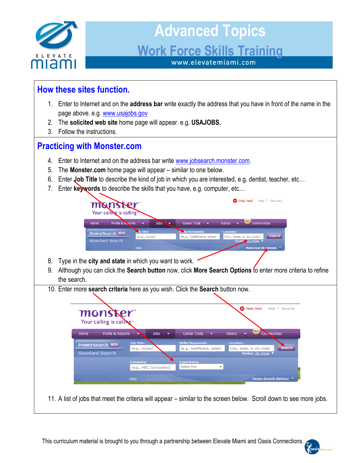

#### **How these sites function.** 1. Enter to Internet and on the **address bar** write exactly the address that you have in front of the name in the page above. e.g. [www.usajobs.gov](http://www.usajobs.gov/) 2. The **solicited web site** home page will appear. e.g. **USAJOBS.** 3. Follow the instructions. **Practicing with Monster.com** 4. Enter to Internet and on the address bar write [www.jobsearch.monster.com.](http://www.jobsearch.monster.com/) 5. The **Monster.com** home page will appear – similar to one below. 6. Enter **Job Title** to describe the kind of job in which you are interested, e.g. dentist, teacher, etc… 7. Enter **keywords** to describe the skills that you have, e.g. computer, etc… Help Haiti Help Security manster Your calling is calling Profile & Resume Jobs Career Tools Advice Home **PowerSearch BETA**  $(e.g., nurse)$ (e.g., healthcare, sales) (city, state, or zip code) **Standard Search** 8. Type in the **city and state** in which you want to work. 9. Although you can click the **Search button** now, click **More Search Options** to enter more criteria to refine the search. 10. Enter more **search criteria** here as you wish. Click the **Search** button now. Help Haiti Help Security monske Your calling is calling Home Profile & Resume Jobs Career Tools Advice Convmunities Job Title **PowerSearch BETA** (e.g., nurse) (e.g., healthcare, sales) (city, state, or zip code) Search **Standard Search** npany: Select One  $\ddot{}$ (e.g., ABC Computers) Help **Fewer Search Options** 11. A list of jobs that meet the criteria will appear – similar to the screen below. Scroll down to see more jobs.

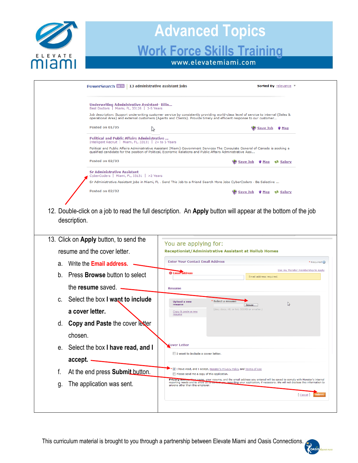

|                                                                                                       | PowerSearch BETA   13 administrative assistant jobs<br>Sorted By relevance v                                                                                                                                                                                                                         |
|-------------------------------------------------------------------------------------------------------|------------------------------------------------------------------------------------------------------------------------------------------------------------------------------------------------------------------------------------------------------------------------------------------------------|
| Underwriting Administrative Assistant-Bilin<br>Best Doctors   Miami, FL, 33126   3-5 Years            |                                                                                                                                                                                                                                                                                                      |
|                                                                                                       | Job description: Support underwriting customer service by consistently providing world-class level of service to internal (Sales &<br>operational Area) and external customers (Agents and Clients). Provide timely and efficient response to our customer                                           |
| Posted on 01/05<br>ピ                                                                                  | Save Job<br>$\sqrt[4]{\mathsf{Map}}$                                                                                                                                                                                                                                                                 |
| Political and Public Affairs Administrative<br>Intelligent Recruit   Miami, FL, 33131   2+ to 5 Years | Political and Public Affairs Administrative Assistant (Miami) Government Services The Consulate General of Canada is seeking a<br>qualified candidate for the position of Political, Economic Relations and Public Affairs Administrative Assi                                                       |
| Posted on 02/03                                                                                       | Save Job<br><b>®≜ Salary</b><br>$\blacktriangledown$ Map                                                                                                                                                                                                                                             |
| <b>Sr Administrative Assistant</b><br>CyberCoders   Miami, FL, 33131   >2 Years                       | Sr Administrative Assistant jobs in Miami, FL . Send This Job to a Friend Search More Jobs CyberCoders - Be Selective                                                                                                                                                                                |
| Posted on 02/02                                                                                       | Save Job Whap & Salary                                                                                                                                                                                                                                                                               |
| 13. Click on Apply button, to send the                                                                | You are applying for:                                                                                                                                                                                                                                                                                |
| resume and the cover letter.                                                                          | <b>Receptionist/Administrative Assistant at Hollub Homes</b>                                                                                                                                                                                                                                         |
| Write the <b>Email address.</b><br>а.                                                                 | <b>Enter Your Contact Email Address</b><br>* Required                                                                                                                                                                                                                                                |
|                                                                                                       | Use my Monster membership to apply                                                                                                                                                                                                                                                                   |
| Press <b>Browse</b> button to select<br>$b_{-}$                                                       | <b>O</b> Email address<br>Email address required.                                                                                                                                                                                                                                                    |
| the resume saved.                                                                                     | <b>Resume</b>                                                                                                                                                                                                                                                                                        |
| Select the box I want to include<br>C.                                                                | Select a resume<br><b>Upload a new</b><br>$\mathbb{Z}$<br>resume<br>Browse                                                                                                                                                                                                                           |
| a cover letter.                                                                                       | (doc, docx, rtf, or txt, 500KB or smaller.)<br>Copy & paste a new<br>resume                                                                                                                                                                                                                          |
| d. Copy and Paste the cover letter                                                                    |                                                                                                                                                                                                                                                                                                      |
| chosen.                                                                                               |                                                                                                                                                                                                                                                                                                      |
| Select the box I have read, and I<br>е.                                                               | <b>Cover Letter</b><br>I want to include a cover letter.                                                                                                                                                                                                                                             |
| accept.                                                                                               |                                                                                                                                                                                                                                                                                                      |
| f.<br>At the end press Submit button.                                                                 | I have read, and I accept, Monster's Privacy Policy and Terms of Use<br>Please send me a copy of this application.                                                                                                                                                                                   |
| The application was sent.<br>g.                                                                       | ur name, your resume, and the email address you entered will be saved to comply with Monster's internal<br><b>Privacy now</b><br>reporting needs and to allow us to be<br>you regarding your application, if necessary. We will not disclose this information to<br>anyone other than this employer. |

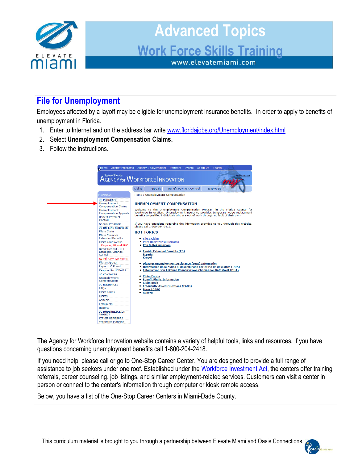

#### **File for Unemployment**

Employees affected by a layoff may be eligible for unemployment insurance benefits. In order to apply to benefits of unemployment in Florida.

- 1. Enter to Internet and on the address bar write [www.floridajobs.org/Unemployment/index.html](http://www.floridajobs.org/Unemployment/index.html)
- 2. Select **Unemployment Compensation Claims.**
- 3. Follow the instructions.



The Agency for Workforce Innovation website contains a variety of helpful tools, links and resources. If you have questions concerning unemployment benefits call 1-800-204-2418.

If you need help, please call or go to One-Stop Career Center. You are designed to provide a full range of assistance to job seekers under one roof. Established under the [Workforce Investment Act,](http://www.doleta.gov/programs/factsht/wialaw.cfm) the centers offer training referrals, career counseling, job listings, and similar employment-related services. Customers can visit a center in person or connect to the center's information through computer or kiosk remote access.

Below, you have a list of the One-Stop Career Centers in Miami-Dade County.